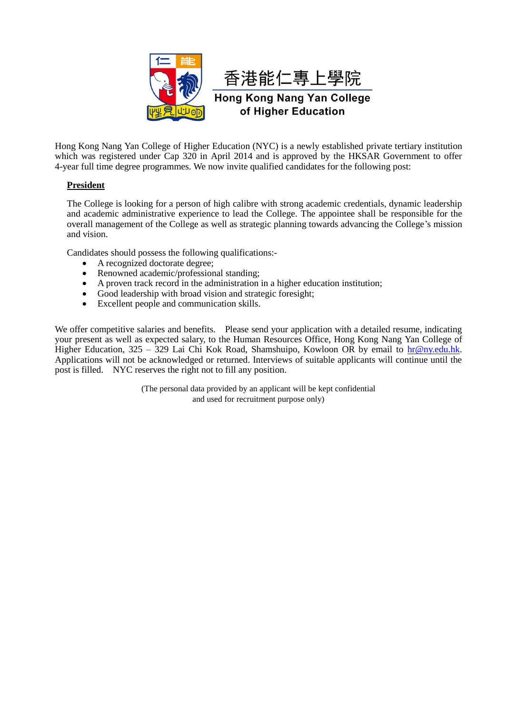

香港能仁專上學院

**Hong Kong Nang Yan College** of Higher Education

Hong Kong Nang Yan College of Higher Education (NYC) is a newly established private tertiary institution which was registered under Cap 320 in April 2014 and is approved by the HKSAR Government to offer 4-year full time degree programmes. We now invite qualified candidates for the following post:

## **President**

The College is looking for a person of high calibre with strong academic credentials, dynamic leadership and academic administrative experience to lead the College. The appointee shall be responsible for the overall management of the College as well as strategic planning towards advancing the College's mission and vision.

Candidates should possess the following qualifications:-

- A recognized doctorate degree;
- Renowned academic/professional standing;
- A proven track record in the administration in a higher education institution;
- Good leadership with broad vision and strategic foresight;
- Excellent people and communication skills.

We offer competitive salaries and benefits. Please send your application with a detailed resume, indicating your present as well as expected salary, to the Human Resources Office, Hong Kong Nang Yan College of Higher Education,  $325 - 329$  Lai Chi Kok Road, Shamshuipo, Kowloon OR by email to [hr@ny.edu.hk.](mailto:hr@ny.edu.hk) Applications will not be acknowledged or returned. Interviews of suitable applicants will continue until the post is filled. NYC reserves the right not to fill any position.

> (The personal data provided by an applicant will be kept confidential and used for recruitment purpose only)